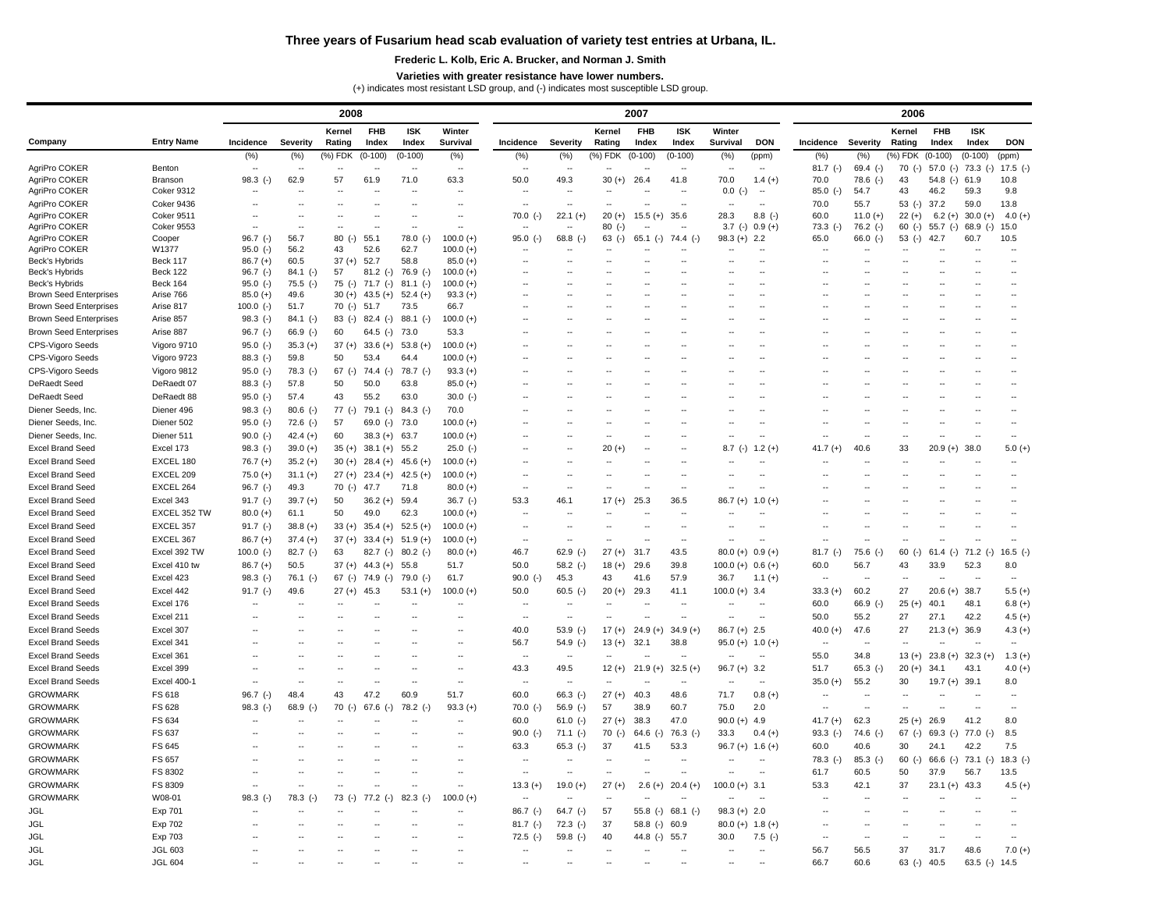## **Three years of Fusarium head scab evaluation of variety test entries at Urbana, IL.**

## **Frederic L. Kolb, Eric A. Brucker, and Norman J. Smith**

**Varieties with greater resistance have lower numbers.**

(+) indicates most resistant LSD group, and (-) indicates most susceptible LSD group.

|                                                 |                                    |                          | 2007                     |                      |                        |                           |                           |                          |                        | 2006           |                          |                |                        |                          |                    |                            |                |                          |                       |                          |
|-------------------------------------------------|------------------------------------|--------------------------|--------------------------|----------------------|------------------------|---------------------------|---------------------------|--------------------------|------------------------|----------------|--------------------------|----------------|------------------------|--------------------------|--------------------|----------------------------|----------------|--------------------------|-----------------------|--------------------------|
|                                                 |                                    |                          |                          | Kernel               | <b>FHB</b>             | <b>ISK</b>                | Winter                    |                          |                        | Kernel         | <b>FHB</b>               | <b>ISK</b>     | Winter                 |                          |                    |                            | Kernel         | <b>FHB</b>               | <b>ISK</b>            |                          |
| Company                                         | <b>Entry Name</b>                  | Incidence                | <b>Severity</b>          | Rating               | Index                  | Index                     | Survival                  | Incidence                | <b>Severity</b>        | Rating         | Index                    | Index          | Survival               | <b>DON</b>               | Incidence          | <b>Severity</b>            | Rating         | Index                    | Index                 | <b>DON</b>               |
|                                                 |                                    | $(\%)$<br>$\sim$         | $(\%)$                   | (%) FDK              | $(0-100)$              | $(0-100)$                 | (%)<br>÷.                 | (%)<br>$\overline{a}$    | $(\%)$                 | $(\%)$ FDK     | $(0-100)$                | $(0-100)$      | (% )                   | (ppm)<br>$\sim$          | (% )               | $(\%)$                     | $%$ ) FDK      | $(0-100)$                | $(0-100)$             | (ppm)                    |
| AgriPro COKER<br>AgriPro COKER                  | Benton<br>Branson                  | $98.3$ (-)               | 62.9                     | 57                   | 61.9                   | 71.0                      | 63.3                      | 50.0                     | $\overline{a}$<br>49.3 | $30 (+)$       | 26.4                     | 41.8           | $\overline{a}$<br>70.0 | $1.4 (+)$                | $81.7$ (-)<br>70.0 | $69.4$ $(-)$<br>$78.6$ (-) | $70$ (-)<br>43 | $57.0$ (-)<br>$54.8$ (-) | 73.3<br>$(-)$<br>61.9 | $17.5$ (-)<br>10.8       |
| AgriPro COKER                                   | <b>Coker 9312</b>                  | $\overline{a}$           | ٠.                       | $\overline{a}$       | $\overline{a}$         |                           | $\overline{\phantom{a}}$  | ۰.                       | $\sim$                 | $\overline{a}$ | $\overline{a}$           | ä.             | $0.0$ (-)              | $\overline{\phantom{a}}$ | $85.0$ (-)         | 54.7                       | 43             | 46.2                     | 59.3                  | 9.8                      |
| AgriPro COKER                                   | Coker 9436                         | μ.                       | ٠.                       |                      | ٠.                     | $\overline{\phantom{a}}$  | ц,                        | $\overline{\phantom{a}}$ | $\sim$                 |                |                          |                |                        |                          | 70.0               | 55.7                       | $53$ (-)       | 37.2                     | 59.0                  | 13.8                     |
| AgriPro COKER                                   | <b>Coker 9511</b>                  |                          |                          |                      | ä,                     |                           | ä,                        | $70.0$ (-)               | $22.1$ (+              | $20 (+)$       | $15.5 (+)$               | 35.6           | 28.3                   | $8.8$ (-)                | 60.0               | $11.0 (+)$                 | $22 (+)$       | $6.2 (+)$                | $30.0 (+$             | 4.0 $(+)$                |
| AgriPro COKER                                   | <b>Coker 9553</b>                  | $\overline{a}$           | ٠.                       |                      |                        |                           |                           |                          |                        | $80$ (-)       |                          |                | 3.7<br>$(-)$           | $0.9 (+)$                | $73.3$ (-          | $76.2$ (-)                 | $60$ (-)       | 55.7                     | 68.9                  | 15.0                     |
| AgriPro COKER                                   | Cooper                             | $96.7$ (-)               | 56.7                     | 80                   | 55.1                   | 78.0<br>$\left( -\right)$ | $100.0 (+)$               | $95.0$ (-)               | $68.8$ $(-)$           | $63$ (-)       | 65.1<br>$(-)$            | 74.4 (-)       | $98.3 (+)$             | 2.2                      | 65.0               | $66.0$ (-                  | $53$ (-)       | 42.7                     | 60.7                  | 10.5                     |
| AgriPro COKER                                   | W1377                              | $95.0$ (-)               | 56.2                     | 43                   | 52.6                   | 62.7                      | $100.0 (+)$               |                          | $\sim$                 |                |                          |                |                        |                          |                    |                            |                |                          |                       |                          |
| Beck's Hybrids                                  | <b>Beck 117</b>                    | $86.7 (+)$               | 60.5                     | $37 (+$              | 52.7                   | 58.8                      | $85.0 (+)$                |                          |                        |                | ٠.                       |                |                        |                          |                    |                            |                |                          |                       |                          |
| Beck's Hybrids                                  | <b>Beck 122</b><br><b>Beck 164</b> | $96.7$ (-)<br>$95.0$ (-) | $84.1$ (-)<br>$75.5$ (-) | 57<br>$75$ (-)       | $81.2$ (-)<br>71.7     | $76.9$ (-)                | $100.0 (+)$               | ٠.                       |                        |                | $\overline{a}$<br>$\sim$ |                |                        |                          |                    |                            |                |                          |                       | ÷.                       |
| Beck's Hybrids<br><b>Brown Seed Enterprises</b> | Arise 766                          | $85.0 (+)$               | 49.6                     | $30 (+)$             | $(-)$<br>43.5<br>$(+)$ | $81.1$ (-)<br>$52.4 (+)$  | $100.0 (+)$<br>$93.3 (+)$ |                          |                        |                | --                       |                |                        |                          |                    |                            |                |                          |                       | $\ddotsc$                |
| <b>Brown Seed Enterprises</b>                   | Arise 817                          | $100.0$ (-)              | 51.7                     | $70$ (-)             | 51.7                   | 73.5                      | 66.7                      |                          |                        |                | $\sim$                   |                |                        |                          |                    |                            |                |                          |                       | $\ddot{\phantom{1}}$     |
| <b>Brown Seed Enterprises</b>                   | Arise 857                          | $98.3$ (-)               | $84.1$ (-)               | $83$ (-)             | $82.4$ (-)             | $88.1$ (-)                | $100.0 (+)$               |                          |                        |                | ш.                       |                |                        |                          |                    |                            |                |                          |                       | ÷.                       |
| <b>Brown Seed Enterprises</b>                   | Arise 887                          | $96.7$ (-)               | $66.9$ (-)               | 60                   | $64.5$ (-)             | 73.0                      | 53.3                      |                          |                        |                |                          |                |                        |                          |                    |                            |                |                          |                       |                          |
| CPS-Vigoro Seeds                                | Vigoro 9710                        | $95.0$ (-)               | $35.3(+)$                | $37 (+)$             | $33.6 (+)$             | $53.8 (+)$                | $100.0 (+)$               |                          |                        |                |                          |                |                        |                          |                    |                            |                |                          |                       |                          |
| CPS-Vigoro Seeds                                | Vigoro 9723                        | $88.3$ (-)               | 59.8                     | 50                   | 53.4                   | 64.4                      | $100.0 (+)$               |                          |                        |                |                          |                |                        |                          |                    |                            |                |                          |                       |                          |
| CPS-Vigoro Seeds                                | Vigoro 9812                        | $95.0$ (-)               | $78.3$ (-)               | $67$ (-)             | 74.4<br>$(-)$          | 78.7 (-)                  | $93.3 (+)$                |                          |                        |                |                          |                |                        |                          |                    |                            |                |                          |                       |                          |
| DeRaedt Seed                                    | DeRaedt 07                         | 88.3 (-)                 | 57.8                     | 50                   | 50.0                   | 63.8                      | $85.0 (+)$                |                          |                        |                |                          |                |                        |                          |                    |                            |                |                          |                       |                          |
| <b>DeRaedt Seed</b>                             | DeRaedt 88                         | $95.0$ (-)               | 57.4                     | 43                   | 55.2                   | 63.0                      | $30.0$ (-)                |                          |                        |                |                          |                |                        |                          |                    |                            |                |                          |                       | $\ddotsc$                |
| Diener Seeds, Inc.                              | Diener 496                         | $98.3$ (-)               | $80.6$ (-)               | $77( - )$            | 79.1<br>$(-)$          | $84.3$ (-                 | 70.0                      |                          |                        |                |                          |                |                        |                          |                    |                            |                |                          |                       |                          |
| Diener Seeds, Inc.                              | Diener 502                         | $95.0$ (-)               | $72.6$ (-)               | 57                   | $69.0$ (-)             | 73.0                      | $100.0 (+)$               |                          |                        |                |                          |                |                        |                          |                    |                            |                |                          |                       |                          |
|                                                 |                                    |                          |                          | 60                   |                        |                           |                           |                          | $\overline{a}$         | Ξ.             | $\overline{a}$           |                |                        |                          |                    | $\sim$                     | $\sim$         |                          | $\overline{a}$        | н.                       |
| Diener Seeds, Inc.                              | Diener 511<br>Excel 173            | $90.0$ (-)               | $42.4 (+)$               |                      | $38.3 (+)$             | 63.7                      | $100.0 (+)$               | $\overline{a}$           | $\overline{a}$         | $20 (+)$       | ÷.                       |                | 8.7                    |                          |                    |                            | 33             |                          |                       | $5.0 (+)$                |
| <b>Excel Brand Seed</b>                         | EXCEL 180                          | $98.3$ (-)               | $39.0 (+)$               | $35 (+)$<br>$30 (+)$ | $38.1 (+)$             | 55.2                      | $25.0$ (-)                |                          | $\overline{a}$         | ٠.             |                          |                |                        | $1.2 (+)$                | 41.7(              | 40.6                       |                | $20.9 (+)$               | 38.0                  | $\overline{\phantom{a}}$ |
| <b>Excel Brand Seed</b>                         |                                    | $76.7 (+)$               | $35.2 (+)$               |                      | $28.4 (+)$             | $45.6 (+)$                | $100.0 (+)$               |                          |                        |                | $\sim$                   |                |                        |                          |                    |                            |                |                          |                       | ÷.                       |
| <b>Excel Brand Seed</b>                         | EXCEL 209                          | $75.0 (+)$               | $31.1 (+)$               | $27 (+)$             | $23.4 (+)$             | $42.5(+)$                 | $100.0 (+)$               | Ξ.                       | ÷.                     |                |                          |                |                        |                          |                    |                            |                |                          |                       |                          |
| <b>Excel Brand Seed</b>                         | EXCEL 264                          | $96.7$ (-)               | 49.3                     | 70(.)                | 47.7                   | 71.8                      | $80.0 (+)$                | ä.                       | $\sim$                 |                |                          |                |                        |                          |                    |                            |                |                          |                       |                          |
| <b>Excel Brand Seed</b>                         | Excel 343                          | $91.7$ (-)               | $39.7 (+)$               | 50                   | $36.2 (+)$             | 59.4                      | $36.7$ (-)                | 53.3                     | 46.1                   | $17 (+)$       | 25.3                     | 36.5           | 86.7(                  | $1.0 (+)$                |                    |                            |                |                          |                       |                          |
| <b>Excel Brand Seed</b>                         | EXCEL 352 TW                       | $80.0 (+)$               | 61.1                     | 50                   | 49.0                   | 62.3                      | $100.0 (+)$               |                          |                        |                |                          |                |                        |                          |                    |                            |                |                          |                       |                          |
| <b>Excel Brand Seed</b>                         | EXCEL 357                          | $91.7$ (-)               | $38.8(+)$                | $33 (+)$             | $35.4 (+)$             | $52.5(+)$                 | $100.0 (+)$               | ц.                       |                        |                |                          |                |                        |                          |                    |                            |                |                          |                       |                          |
| <b>Excel Brand Seed</b>                         | EXCEL 367                          | $86.7 (+)$               | $37.4 (+)$               | $37 (+)$             | $33.4 (+)$             | $51.9 (+)$                | $100.0 (+)$               | Ξ.                       | --                     |                |                          |                |                        |                          |                    |                            |                |                          |                       |                          |
| <b>Excel Brand Seed</b>                         | Excel 392 TW                       | $100.0$ (-)              | $82.7$ (-)               | 63                   | $82.7$ (-)             | $80.2$ (-)                | $80.0 (+)$                | 46.7                     | $62.9$ $(-)$           | $27 (+)$       | 31.7                     | 43.5           | $80.0 (+)$             | $0.9 (+)$                | $81.7$ (-)         | 75.6 (-                    | 60             | 61.4<br>$(-)$            | 71.2                  | $16.5$ (-)               |
| <b>Excel Brand Seed</b>                         | Excel 410 tw                       | $86.7 (+)$               | 50.5                     | $37 (+)$             | $44.3 (+)$             | 55.8                      | 51.7                      | 50.0                     | $58.2$ (-)             | $18 (+)$       | 29.6                     | 39.8           | $100.0 (+)$            | $0.6 (+)$                | 60.0               | 56.7                       | 43             | 33.9                     | 52.3                  | 8.0                      |
| <b>Excel Brand Seed</b>                         | Excel 423                          | $98.3$ (-)               | $76.1$ (-)               | $67$ (-)             | 74.9 (-)               | 79.0 (-)                  | 61.7                      | $90.0$ (-)               | 45.3                   | 43             | 41.6                     | 57.9           | 36.7                   | $1.1 (+)$                | $\sim$             | $\sim$                     | $\sim$         | $\overline{a}$           | ÷.                    | $\overline{\phantom{a}}$ |
| <b>Excel Brand Seed</b>                         | Excel 442                          | $91.7$ (-)               | 49.6                     | $27 (+)$             | 45.3                   | $53.1 (+)$                | $100.0 (+)$               | 50.0                     | $60.5$ (-)             | $20 (+)$       | 29.3                     | 41.1           | $100.0 (+)$            | 3.4                      | $33.3(+)$          | 60.2                       | 27             | $20.6 (+)$               | 38.7                  | $5.5(+)$                 |
| <b>Excel Brand Seeds</b>                        | Excel 176                          | $\overline{a}$           |                          |                      |                        |                           | ٠.                        | $\overline{a}$           | $\sim$                 | $\overline{a}$ | $\overline{\phantom{a}}$ | $\overline{a}$ |                        | $\overline{\phantom{a}}$ | 60.0               | $66.9$ $(-)$               | 25(1)          | 40.1                     | 48.1                  | $6.8 (+)$                |
| <b>Excel Brand Seeds</b>                        | Excel 211                          | 44                       |                          |                      | ä.                     |                           |                           | $\overline{\phantom{a}}$ | $\sim$                 | $\overline{a}$ | $\sim$                   | $\overline{a}$ |                        | $\sim$                   | 50.0               | 55.2                       | 27             | 27.1                     | 42.2                  | $4.5 (+)$                |
| <b>Excel Brand Seeds</b>                        | Excel 307                          |                          |                          |                      |                        |                           |                           | 40.0                     | $53.9$ (-              | $17 (+)$       | 24.9                     | 34.9(          | $86.7 (+)$             | 2.5                      | $40.0 (+)$         | 47.6                       | 27             | $21.3 (+) 36.9$          |                       | $4.3 (+)$                |
| <b>Excel Brand Seeds</b>                        | Excel 341                          | 44                       |                          |                      | ä.                     |                           | ÷.                        | 56.7                     | 54.9 (-                | $13 (+)$       | 32.1                     | 38.8           | $95.0 (+)$             | $1.0 (+)$                |                    | $\sim$                     |                |                          |                       | $\sim$                   |
| <b>Excel Brand Seeds</b>                        | Excel 361                          |                          |                          |                      |                        |                           |                           |                          |                        |                |                          |                |                        |                          | 55.0               | 34.8                       | $13 (+)$       | $23.8 (+)$               | $32.3(+)$             | $1.3 (+)$                |
| <b>Excel Brand Seeds</b>                        | Excel 399                          |                          |                          |                      | ä,                     |                           | L.                        | 43.3                     | 49.5                   | $12 (+)$       | $21.9 (+)$               | $32.5 (+)$     | $96.7 (+)$             | 3.2                      | 51.7               | $65.3$ (-)                 | $20 (+)$       | 34.1                     | 43.1                  | $4.0 (+)$                |
| <b>Excel Brand Seeds</b>                        | <b>Excel 400-1</b>                 |                          |                          |                      |                        |                           |                           | ٠.                       |                        |                |                          |                |                        |                          | $35.0 (+)$         | 55.2                       | 30             | $19.7 (+) 39.1$          |                       | 8.0                      |
| <b>GROWMARK</b>                                 | FS 618                             | $96.7$ (-)               | 48.4                     | 43                   | 47.2                   | 60.9                      | 51.7                      | 60.0                     | $66.3$ (-)             | $27 (+)$       | 40.3                     | 48.6           | 71.7                   | $0.8 (+)$                |                    |                            |                |                          |                       | ٠.                       |
| <b>GROWMARK</b>                                 | FS 628                             | $98.3$ (-)               | $68.9$ $(-$              | 70                   | 67.6 $(-)$             | $78.2$ (-                 | $93.3 (+)$                | $70.0$ (-)               | $56.9$ (-)             | 57             | 38.9                     | 60.7           | 75.0                   | 2.0                      |                    |                            |                |                          | ۰.                    |                          |
| <b>GROWMARK</b>                                 | FS 634                             | $\overline{a}$           | --                       |                      |                        |                           | $\overline{a}$            | 60.0                     | $61.0$ (-)             | $27 (+)$       | 38.3                     | 47.0           | $90.0 (+)$             | 4.9                      | 41.7 $(+)$         | 62.3                       | $25 (+)$       | 26.9                     | 41.2                  | 8.0                      |
| <b>GROWMARK</b>                                 | FS 637                             | $\overline{a}$           |                          |                      |                        |                           |                           | 90.0<br>$(-)$            | $71.1$ (-)             | $70( - )$      | 64.6                     | 76.3<br>$(-$   | 33.3                   | $0.4 (+)$                | 93.3<br>$(-)$      | $74.6$ (-)                 | $67$ (-)       | 69.3<br>$(-)$            | 77.0                  | 8.5                      |
| <b>GROWMARK</b>                                 | FS 645                             |                          |                          |                      |                        |                           | --                        | 63.3                     | $65.3$ $(-)$           | 37             | 41.5                     | 53.3           | $96.7 (+)$             | $1.6 (+)$                | 60.0               | 40.6                       | 30             | 24.                      | 42.2                  | 7.5                      |
| <b>GROWMARK</b>                                 | FS 657                             |                          |                          |                      |                        |                           |                           | --                       | $\sim$                 | ÷.             |                          |                |                        |                          | $78.3$ (-)         | $85.3$ (-                  | 60             | $66.6$ (-)               | 73.1                  | $18.3$ (-)               |
| <b>GROWMARK</b>                                 | FS 8302                            |                          |                          |                      |                        |                           | ц,                        | μ.                       | н.                     | Ξ.             |                          |                |                        | ٠.                       | 61.7               | 60.5                       | 50             | 37.9                     | 56.7                  | 13.5                     |
| <b>GROWMARK</b>                                 | FS 8309                            | $\sim$                   |                          |                      | $\sim$                 |                           | ٠.                        | $13.3 (+)$               | $19.0 (+$              | $27 (+$        | $2.6 (+)$                | $20.4 (+)$     | $100.0 (+)$            | 3.1                      | 53.3               | 42.1                       | 37             | 23.1<br>$(+)$            | 43.3                  | $4.5 (+)$                |
| <b>GROWMARK</b>                                 | W08-01                             | $98.3$ (-)               | 78.3                     | 73                   | $77.2$ (-)             | 82.3                      | $100.0 (+)$               |                          |                        |                |                          |                |                        |                          |                    |                            |                |                          |                       | $\sim$                   |
| <b>JGL</b>                                      | Exp 701                            |                          |                          |                      |                        |                           |                           | $86.7$ (-)               | 64.7 $(-)$             | 57             | $55.8$ (-)               | $68.1$ ( $-$   | $98.3 (+)$             | 2.0                      |                    |                            |                |                          |                       |                          |
| <b>JGL</b>                                      | Exp 702                            |                          |                          |                      |                        |                           |                           | $81.7$ (-)               | $72.3$ (-)             | 37             | $58.8$ (-)               | 60.9           | $80.0 (+)$             | $1.8 (+)$                |                    |                            |                |                          |                       |                          |
| <b>JGL</b>                                      | Exp 703                            |                          |                          |                      |                        |                           |                           | $72.5$ (-)               | $59.8$ (-)             | 40             | 44.8 $(-)$               | 55.7           | 30.0                   | $7.5$ (-)                |                    |                            |                |                          |                       |                          |
| <b>JGL</b>                                      | <b>JGL 603</b>                     |                          |                          |                      |                        |                           |                           |                          |                        |                |                          |                |                        |                          | 56.7               | 56.5                       | 37             | 31.7                     | 48.6                  | $7.0(+)$                 |
| <b>JGL</b>                                      | <b>JGL 604</b>                     |                          |                          |                      |                        |                           |                           |                          |                        |                |                          |                |                        |                          | 66.7               | 60.6                       | 63             | 40.5                     | 63.5<br>$(-)$         | 14.5                     |